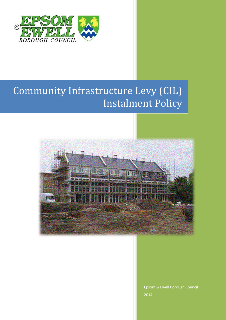

## Community Infrastructure Levy (CIL) Instalment Policy



Epsom & Ewell Borough Council 2014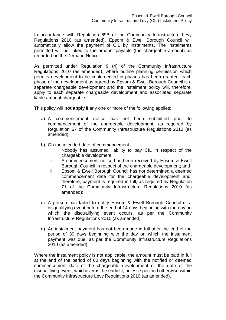In accordance with Regulation 69B of the Community Infrastructure Levy Regulations 2010 (as amended), Epsom & Ewell Borough Council will automatically allow the payment of CIL by instalments. The instalments permitted will be linked to the amount payable (the chargeable amount) as recorded on the Demand Notice.

As permitted under Regulation 9 (4) of the Community Infrastructure Regulations 2010 (as amended), where outline planning permission which permits development to be implemented in phases has been granted, each phase of the development as agreed by Epsom & Ewell Borough Council is a separate chargeable development and the instalment policy will, therefore, apply to each separate chargeable development and associated separate liable amount chargeable.

This policy will **not apply** if any one or more of the following applies:

- a) A commencement notice has not been submitted prior to commencement of the chargeable development, as required by Regulation 67 of the Community Infrastructure Regulations 2010 (as amended);
- b) On the intended date of commencement
	- i. Nobody has assumed liability to pay CIL in respect of the chargeable development;
	- ii. A commencement notice has been received by Epsom & Ewell Borough Council in respect of the chargeable development; and
	- iii. Epsom & Ewell Borough Council has not determined a deemed commencement date for the chargeable development and, therefore, payment is required in full, as required by Regulation 71 of the Community Infrastructure Regulations 2010 (as amended);
- c) A person has failed to notify Epsom & Ewell Borough Council of a disqualifying event before the end of 14 days beginning with the day on which the disqualifying event occurs, as per the Community Infrastructure Regulations 2010 (as amended)
- d) An instalment payment has not been made in full after the end of the period of 30 days beginning with the day on which the instalment payment was due, as per the Community Infrastructure Regulations 2010 (as amended)

Where the instalment policy is not applicable, the amount must be paid in full at the end of the period of 60 days beginning with the notified or deemed commencement date of the chargeable development or the date of the disqualifying event, whichever is the earliest, unless specified otherwise within the Community Infrastructure Levy Regulations 2010 (as amended).